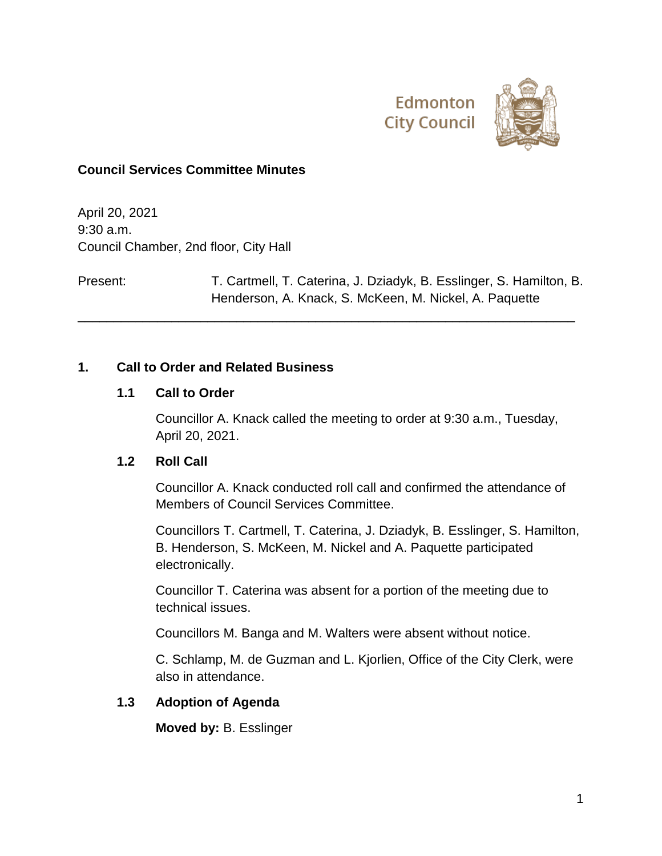



#### **Council Services Committee Minutes**

April 20, 2021 9:30 a.m. Council Chamber, 2nd floor, City Hall

Present: T. Cartmell, T. Caterina, J. Dziadyk, B. Esslinger, S. Hamilton, B. Henderson, A. Knack, S. McKeen, M. Nickel, A. Paquette

\_\_\_\_\_\_\_\_\_\_\_\_\_\_\_\_\_\_\_\_\_\_\_\_\_\_\_\_\_\_\_\_\_\_\_\_\_\_\_\_\_\_\_\_\_\_\_\_\_\_\_\_\_\_\_\_\_\_\_\_\_\_\_\_\_\_\_\_\_

#### **1. Call to Order and Related Business**

#### **1.1 Call to Order**

Councillor A. Knack called the meeting to order at 9:30 a.m., Tuesday, April 20, 2021.

#### **1.2 Roll Call**

Councillor A. Knack conducted roll call and confirmed the attendance of Members of Council Services Committee.

Councillors T. Cartmell, T. Caterina, J. Dziadyk, B. Esslinger, S. Hamilton, B. Henderson, S. McKeen, M. Nickel and A. Paquette participated electronically.

Councillor T. Caterina was absent for a portion of the meeting due to technical issues.

Councillors M. Banga and M. Walters were absent without notice.

C. Schlamp, M. de Guzman and L. Kjorlien, Office of the City Clerk, were also in attendance.

### **1.3 Adoption of Agenda**

**Moved by:** B. Esslinger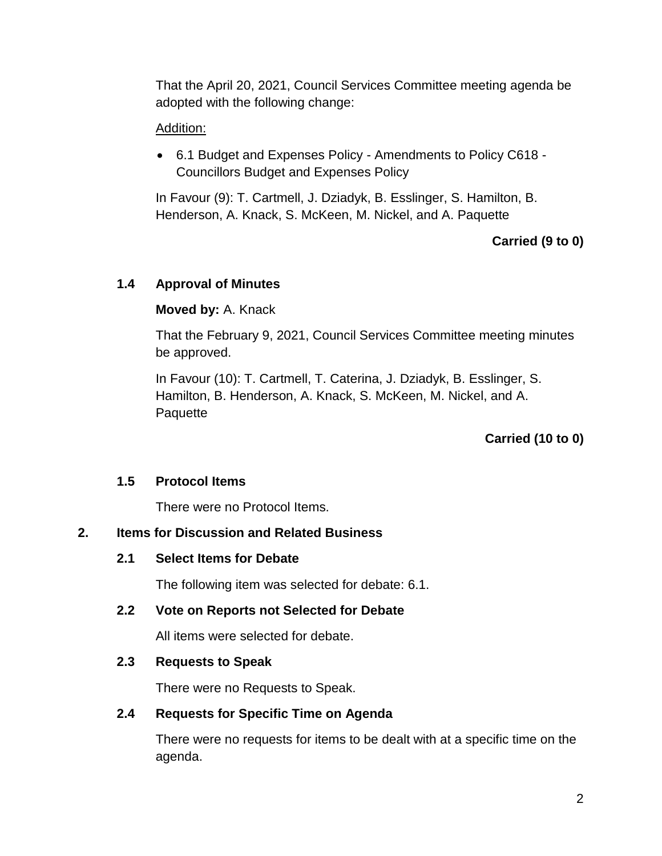That the April 20, 2021, Council Services Committee meeting agenda be adopted with the following change:

## Addition:

 6.1 Budget and Expenses Policy - Amendments to Policy C618 - Councillors Budget and Expenses Policy

In Favour (9): T. Cartmell, J. Dziadyk, B. Esslinger, S. Hamilton, B. Henderson, A. Knack, S. McKeen, M. Nickel, and A. Paquette

# **Carried (9 to 0)**

## **1.4 Approval of Minutes**

## **Moved by:** A. Knack

That the February 9, 2021, Council Services Committee meeting minutes be approved.

In Favour (10): T. Cartmell, T. Caterina, J. Dziadyk, B. Esslinger, S. Hamilton, B. Henderson, A. Knack, S. McKeen, M. Nickel, and A. Paquette

# **Carried (10 to 0)**

## **1.5 Protocol Items**

There were no Protocol Items.

## **2. Items for Discussion and Related Business**

## **2.1 Select Items for Debate**

The following item was selected for debate: 6.1.

#### **2.2 Vote on Reports not Selected for Debate**

All items were selected for debate.

## **2.3 Requests to Speak**

There were no Requests to Speak.

## **2.4 Requests for Specific Time on Agenda**

There were no requests for items to be dealt with at a specific time on the agenda.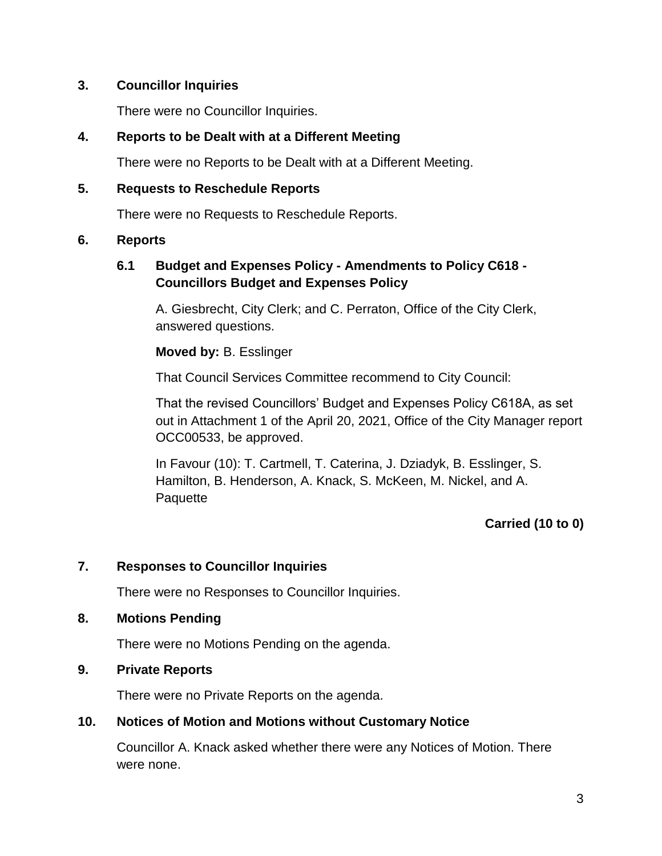### **3. Councillor Inquiries**

There were no Councillor Inquiries.

#### **4. Reports to be Dealt with at a Different Meeting**

There were no Reports to be Dealt with at a Different Meeting.

#### **5. Requests to Reschedule Reports**

There were no Requests to Reschedule Reports.

### **6. Reports**

## **6.1 Budget and Expenses Policy - Amendments to Policy C618 - Councillors Budget and Expenses Policy**

A. Giesbrecht, City Clerk; and C. Perraton, Office of the City Clerk, answered questions.

### **Moved by:** B. Esslinger

That Council Services Committee recommend to City Council:

That the revised Councillors' Budget and Expenses Policy C618A, as set out in Attachment 1 of the April 20, 2021, Office of the City Manager report OCC00533, be approved.

In Favour (10): T. Cartmell, T. Caterina, J. Dziadyk, B. Esslinger, S. Hamilton, B. Henderson, A. Knack, S. McKeen, M. Nickel, and A. Paquette

## **Carried (10 to 0)**

## **7. Responses to Councillor Inquiries**

There were no Responses to Councillor Inquiries.

#### **8. Motions Pending**

There were no Motions Pending on the agenda.

#### **9. Private Reports**

There were no Private Reports on the agenda.

## **10. Notices of Motion and Motions without Customary Notice**

Councillor A. Knack asked whether there were any Notices of Motion. There were none.